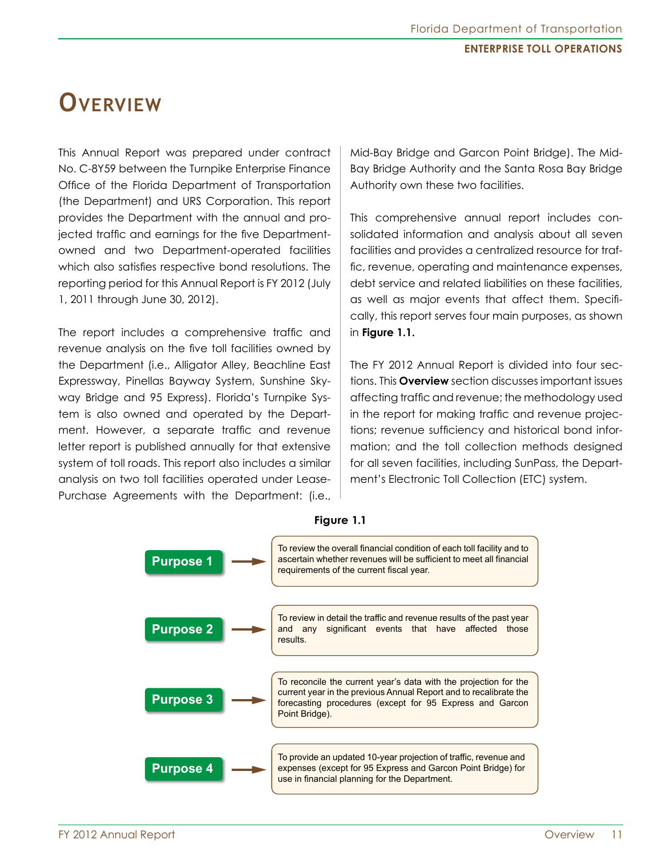# **Overview**

This Annual Report was prepared under contract No. C-8Y59 between the Turnpike Enterprise Finance Office of the Florida Department of Transportation (the Department) and URS Corporation. This report provides the Department with the annual and projected traffic and earnings for the five Departmentowned and two Department-operated facilities which also satisfies respective bond resolutions. The reporting period for this Annual Report is FY 2012 (July 1, 2011 through June 30, 2012).

The report includes a comprehensive traffic and revenue analysis on the five toll facilities owned by the Department (i.e., Alligator Alley, Beachline East Expressway, Pinellas Bayway System, Sunshine Skyway Bridge and 95 Express). Florida's Turnpike System is also owned and operated by the Department. However, a separate traffic and revenue letter report is published annually for that extensive system of toll roads. This report also includes a similar analysis on two toll facilities operated under Lease-Purchase Agreements with the Department: (i.e., Mid-Bay Bridge and Garcon Point Bridge). The Mid-Bay Bridge Authority and the Santa Rosa Bay Bridge Authority own these two facilities.

This comprehensive annual report includes consolidated information and analysis about all seven facilities and provides a centralized resource for traffic, revenue, operating and maintenance expenses, debt service and related liabilities on these facilities, as well as major events that affect them. Specifically, this report serves four main purposes, as shown in **Figure 1.1.**

The FY 2012 Annual Report is divided into four sections. This **Overview** section discusses important issues affecting traffic and revenue; the methodology used in the report for making traffic and revenue projections; revenue sufficiency and historical bond information; and the toll collection methods designed for all seven facilities, including SunPass, the Department's Electronic Toll Collection (ETC) system.



#### **Figure 1.1**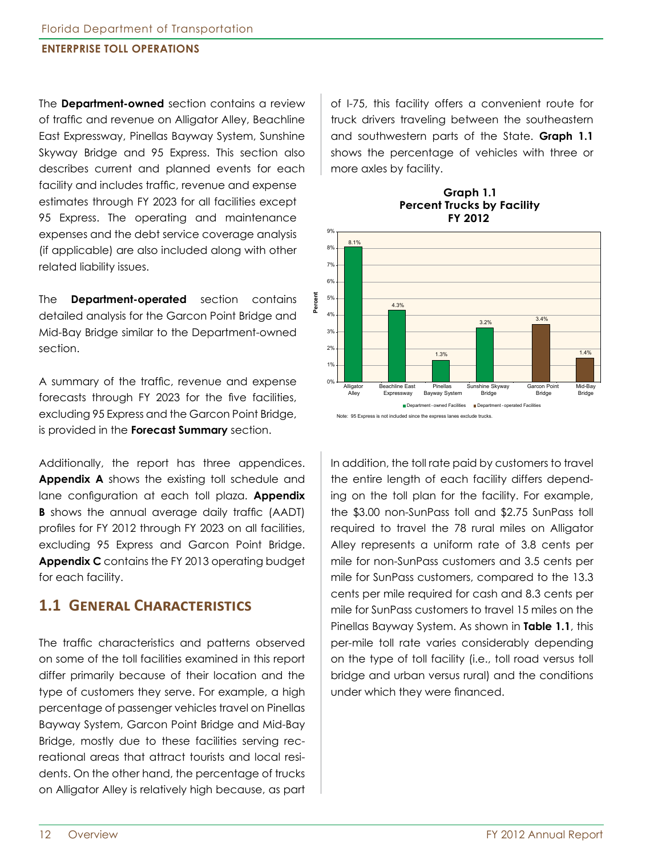The **Department-owned** section contains a review of traffic and revenue on Alligator Alley, Beachline East Expressway, Pinellas Bayway System, Sunshine Skyway Bridge and 95 Express. This section also describes current and planned events for each facility and includes traffic, revenue and expense estimates through FY 2023 for all facilities except 95 Express. The operating and maintenance expenses and the debt service coverage analysis (if applicable) are also included along with other related liability issues.

The **Department-operated** section contains detailed analysis for the Garcon Point Bridge and Mid-Bay Bridge similar to the Department-owned section.

A summary of the traffic, revenue and expense forecasts through FY 2023 for the five facilities, excluding 95 Express and the Garcon Point Bridge, is provided in the **Forecast Summary** section.

Additionally, the report has three appendices. **Appendix A** shows the existing toll schedule and lane configuration at each toll plaza. **Appendix B** shows the annual average daily traffic (AADT) profiles for FY 2012 through FY 2023 on all facilities, excluding 95 Express and Garcon Point Bridge. **Appendix C** contains the FY 2013 operating budget for each facility.

### **1.1 General Characteristics**

The traffic characteristics and patterns observed on some of the toll facilities examined in this report differ primarily because of their location and the type of customers they serve. For example, a high percentage of passenger vehicles travel on Pinellas Bayway System, Garcon Point Bridge and Mid-Bay Bridge, mostly due to these facilities serving recreational areas that attract tourists and local residents. On the other hand, the percentage of trucks on Alligator Alley is relatively high because, as part

of I-75, this facility offers a convenient route for truck drivers traveling between the southeastern and southwestern parts of the State. **Graph 1.1**  shows the percentage of vehicles with three or more axles by facility.

**Graph 1.1 Percent Trucks by Facility FY 2012**



In addition, the toll rate paid by customers to travel the entire length of each facility differs depending on the toll plan for the facility. For example, the \$3.00 non-SunPass toll and \$2.75 SunPass toll required to travel the 78 rural miles on Alligator Alley represents a uniform rate of 3.8 cents per mile for non-SunPass customers and 3.5 cents per mile for SunPass customers, compared to the 13.3 cents per mile required for cash and 8.3 cents per mile for SunPass customers to travel 15 miles on the Pinellas Bayway System. As shown in **Table 1.1**, this per-mile toll rate varies considerably depending on the type of toll facility (i.e., toll road versus toll bridge and urban versus rural) and the conditions under which they were financed.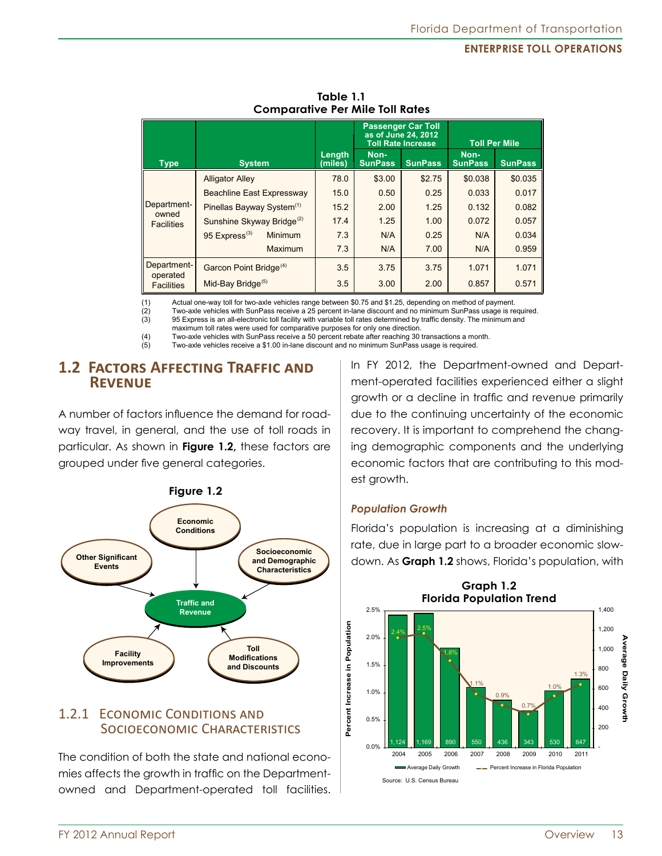|                            |                                             |                   |                        | <b>Passenger Car Toll</b><br>as of June 24, 2012<br><b>Toll Rate Increase</b> | <b>Toll Per Mile</b>   |                |  |
|----------------------------|---------------------------------------------|-------------------|------------------------|-------------------------------------------------------------------------------|------------------------|----------------|--|
| <b>Type</b>                | <b>System</b>                               | Length<br>(miles) | Non-<br><b>SunPass</b> | <b>SunPass</b>                                                                | Non-<br><b>SunPass</b> | <b>SunPass</b> |  |
|                            | <b>Alligator Alley</b>                      | 78.0              | \$3.00                 | \$2.75                                                                        | \$0.038                | \$0.035        |  |
|                            | Beachline East Expressway                   | 15.0              | 0.50                   | 0.25                                                                          | 0.033                  | 0.017          |  |
| Department-                | Pinellas Bayway System <sup>(1)</sup>       | 15.2              | 2.00                   | 1.25                                                                          | 0.132                  | 0.082          |  |
| owned<br><b>Facilities</b> | Sunshine Skyway Bridge <sup>(2)</sup>       | 17.4              | 1.25                   | 1.00                                                                          | 0.072                  | 0.057          |  |
|                            | 95 Express <sup>(3)</sup><br><b>Minimum</b> | 7.3               | N/A                    | 0.25                                                                          | N/A                    | 0.034          |  |
|                            | Maximum                                     | 7.3               | N/A                    | 7.00                                                                          | N/A                    | 0.959          |  |
| Department-<br>operated    | Garcon Point Bridge <sup>(4)</sup>          | 3.5               | 3.75                   | 3.75                                                                          | 1.071                  | 1.071          |  |
| <b>Facilities</b>          | Mid-Bay Bridge <sup>(5)</sup>               | 3.5               | 3.00                   | 2.00                                                                          | 0.857                  | 0.571          |  |

**Table 1.1 Comparative Per Mile Toll Rates**

(1) Actual one-way toll for two-axle vehicles range between \$0.75 and \$1.25, depending on method of payment.<br>(2) Two-axle vehicles with SunPass receive a 25 percent in-lane discount and no minimum SunPass usage is re

(2) Two-axle vehicles with SunPass receive a 25 percent in-lane discount and no minimum SunPass usage is required.<br>(3) 95 Express is an all-electronic toll facility with variable toll rates determined by traffic density. T 95 Express is an all-electronic toll facility with variable toll rates determined by traffic density. The minimum and

maximum toll rates were used for comparative purposes for only one direction.<br>(4) Two-axle vehicles with SunPass receive a 50 percent rebate after reaching 30

(4) Two-axle vehicles with SunPass receive a 50 percent rebate after reaching 30 transactions a month.<br>(5) Two-axle vehicles receive a \$1.00 in-lane discount and no minimum SunPass usage is required (5) Two-axle vehicles receive a \$1.00 in-lane discount and no minimum SunPass usage is required.

# **1.2 Factors Affecting Traffic and Revenue**

A number of factors influence the demand for roadway travel, in general, and the use of toll roads in particular. As shown in **Figure 1.2,** these factors are grouped under five general categories.



# 1.2.1 Economic Conditions and Socioeconomic Characteristics

The condition of both the state and national economies affects the growth in traffic on the Departmentowned and Department-operated toll facilities. In FY 2012, the Department-owned and Department-operated facilities experienced either a slight growth or a decline in traffic and revenue primarily due to the continuing uncertainty of the economic recovery. It is important to comprehend the changing demographic components and the underlying economic factors that are contributing to this modest growth.

#### *Population Growth*

Florida's population is increasing at a diminishing rate, due in large part to a broader economic slowdown. As **Graph 1.2** shows, Florida's population, with

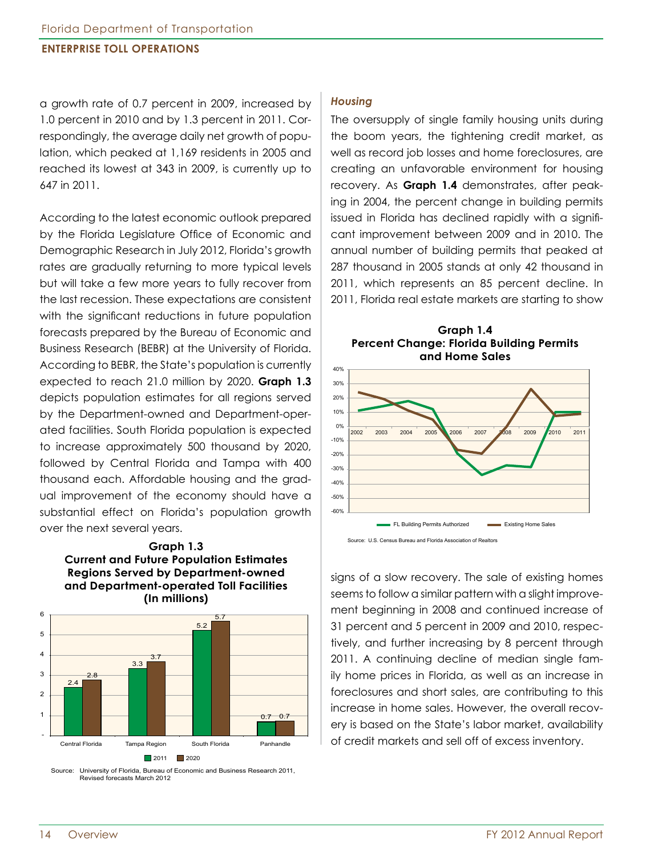a growth rate of 0.7 percent in 2009, increased by 1.0 percent in 2010 and by 1.3 percent in 2011. Correspondingly, the average daily net growth of population, which peaked at 1,169 residents in 2005 and reached its lowest at 343 in 2009, is currently up to 647 in 2011.

According to the latest economic outlook prepared by the Florida Legislature Office of Economic and Demographic Research in July 2012, Florida's growth rates are gradually returning to more typical levels but will take a few more years to fully recover from the last recession. These expectations are consistent with the significant reductions in future population forecasts prepared by the Bureau of Economic and Business Research (BEBR) at the University of Florida. According to BEBR, the State's population is currently expected to reach 21.0 million by 2020. **Graph 1.3** depicts population estimates for all regions served by the Department-owned and Department-operated facilities. South Florida population is expected to increase approximately 500 thousand by 2020, followed by Central Florida and Tampa with 400 thousand each. Affordable housing and the gradual improvement of the economy should have a substantial effect on Florida's population growth over the next several years.





Source: University of Florida, Bureau of Economic and Business Research 2011, Revised forecasts March 2012

#### *Housing*

The oversupply of single family housing units during the boom years, the tightening credit market, as well as record job losses and home foreclosures, are creating an unfavorable environment for housing recovery. As **Graph 1.4** demonstrates, after peaking in 2004, the percent change in building permits issued in Florida has declined rapidly with a significant improvement between 2009 and in 2010. The annual number of building permits that peaked at 287 thousand in 2005 stands at only 42 thousand in 2011, which represents an 85 percent decline. In 2011, Florida real estate markets are starting to show





Source: U.S. Census Bureau and Florida Association of Realtors

signs of a slow recovery. The sale of existing homes seems to follow a similar pattern with a slight improvement beginning in 2008 and continued increase of 31 percent and 5 percent in 2009 and 2010, respectively, and further increasing by 8 percent through 2011. A continuing decline of median single family home prices in Florida, as well as an increase in foreclosures and short sales, are contributing to this increase in home sales. However, the overall recovery is based on the State's labor market, availability of credit markets and sell off of excess inventory.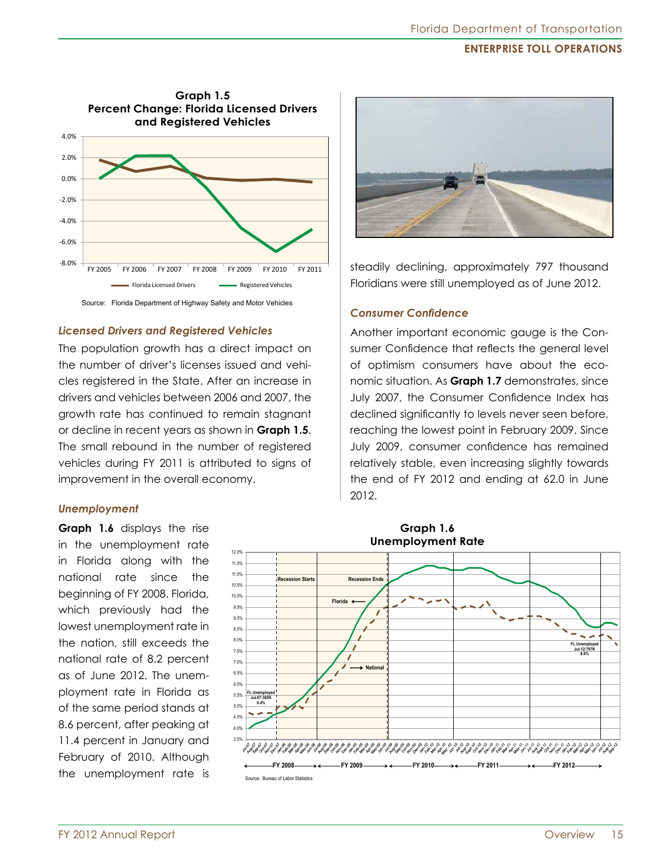

#### *Licensed Drivers and Registered Vehicles*

The population growth has a direct impact on the number of driver's licenses issued and vehicles registered in the State. After an increase in drivers and vehicles between 2006 and 2007, the growth rate has continued to remain stagnant or decline in recent years as shown in **Graph 1.5**. The small rebound in the number of registered vehicles during FY 2011 is attributed to signs of improvement in the overall economy.

#### *Unemployment*

**Graph 1.6** displays the rise in the unemployment rate in Florida along with the national rate since the beginning of FY 2008. Florida, which previously had the lowest unemployment rate in the nation, still exceeds the national rate of 8.2 percent as of June 2012. The unemployment rate in Florida as of the same period stands at 8.6 percent, after peaking at 11.4 percent in January and February of 2010. Although the unemployment rate is



steadily declining, approximately 797 thousand Floridians were still unemployed as of June 2012.

#### *Consumer Confidence*

Another important economic gauge is the Consumer Confidence that reflects the general level of optimism consumers have about the economic situation. As **Graph 1.7** demonstrates, since July 2007, the Consumer Confidence Index has declined significantly to levels never seen before, reaching the lowest point in February 2009. Since July 2009, consumer confidence has remained relatively stable, even increasing slightly towards the end of FY 2012 and ending at 62.0 in June 2012.

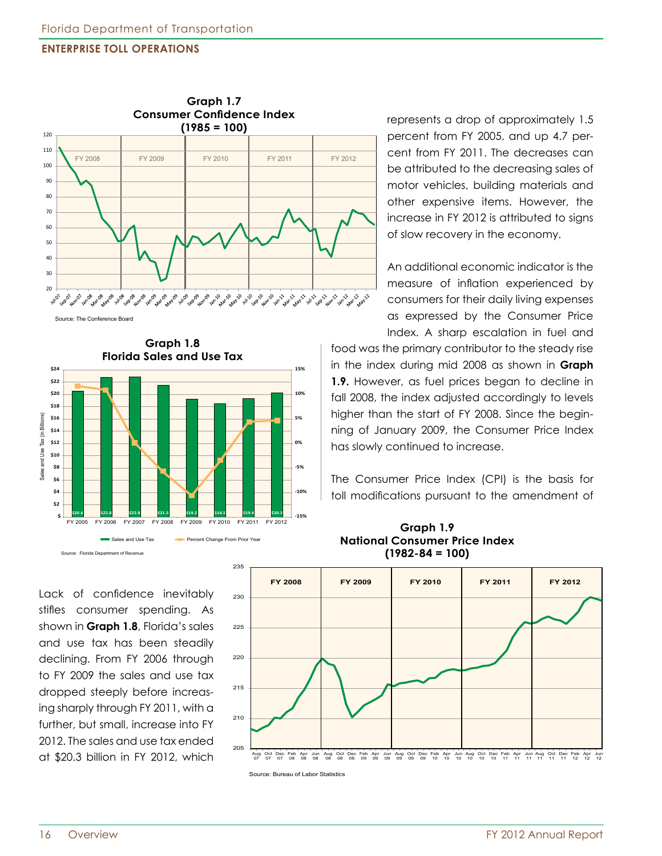

**Graph 1.8 Florida Sales and Use Tax 15% \$24 \$22 \$20 10% \$18**  Sales and Use Tax (in Billions) **5%** Sales and Use Tax (in Billions **\$16 \$14 \$12 0% \$10 \$8 -5% \$6 \$4 -10% \$2 \$20.6 \$22.8 \$22.8 \$21.5 \$19.2 \$18.5 \$19.4 \$20.3 -15%** FY 2005 FY 2006 FY 2007 FY 2008 FY 2009 FY 2010 FY 2011 FY 2012 **\$-** Sales and Use Tax **Percent Change From Prior Year** 

Lack of confidence inevitably stifles consumer spending. As shown in **Graph 1.8**, Florida's sales and use tax has been steadily declining. From FY 2006 through to FY 2009 the sales and use tax dropped steeply before increasing sharply through FY 2011, with a further, but small, increase into FY 2012. The sales and use tax ended at \$20.3 billion in FY 2012, which

Source: Florida Department of Revenue

food was the primary contributor to the steady rise in the index during mid 2008 as shown in **Graph 1.9.** However, as fuel prices began to decline in fall 2008, the index adjusted accordingly to levels higher than the start of FY 2008. Since the beginning of January 2009, the Consumer Price Index has slowly continued to increase. The Consumer Price Index (CPI) is the basis for toll modifications pursuant to the amendment of **Graph 1.9 National Consumer Price Index (1982-84 = 100)**



represents a drop of approximately 1.5 percent from FY 2005, and up 4.7 percent from FY 2011. The decreases can be attributed to the decreasing sales of motor vehicles, building materials and other expensive items. However, the increase in FY 2012 is attributed to signs of slow recovery in the economy.

An additional economic indicator is the measure of inflation experienced by consumers for their daily living expenses as expressed by the Consumer Price Index. A sharp escalation in fuel and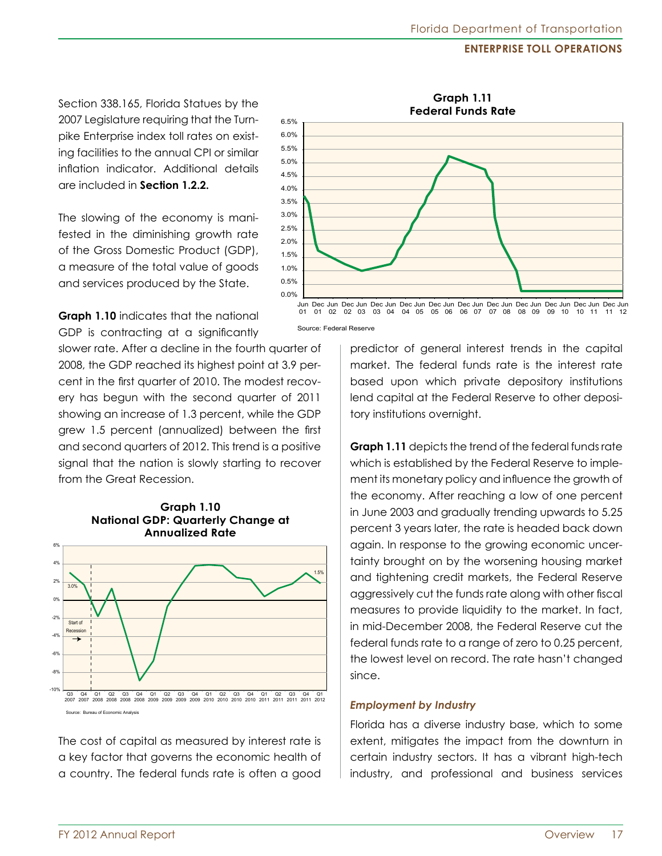Section 338.165, Florida Statues by the 2007 Legislature requiring that the Turnpike Enterprise index toll rates on existing facilities to the annual CPI or similar inflation indicator. Additional details are included in **Section 1.2.2.**

The slowing of the economy is manifested in the diminishing growth rate of the Gross Domestic Product (GDP), a measure of the total value of goods and services produced by the State.



**Graph 1.10** indicates that the national GDP is contracting at a significantly

slower rate. After a decline in the fourth quarter of 2008, the GDP reached its highest point at 3.9 percent in the first quarter of 2010. The modest recovery has begun with the second quarter of 2011 showing an increase of 1.3 percent, while the GDP grew 1.5 percent (annualized) between the first and second quarters of 2012. This trend is a positive signal that the nation is slowly starting to recover from the Great Recession.

**Graph 1.10**



The cost of capital as measured by interest rate is a key factor that governs the economic health of a country. The federal funds rate is often a good

predictor of general interest trends in the capital market. The federal funds rate is the interest rate based upon which private depository institutions

lend capital at the Federal Reserve to other deposi-

**Graph 1.11** depicts the trend of the federal funds rate which is established by the Federal Reserve to implement its monetary policy and influence the growth of the economy. After reaching a low of one percent in June 2003 and gradually trending upwards to 5.25 percent 3 years later, the rate is headed back down again. In response to the growing economic uncertainty brought on by the worsening housing market and tightening credit markets, the Federal Reserve aggressively cut the funds rate along with other fiscal measures to provide liquidity to the market. In fact, in mid-December 2008, the Federal Reserve cut the federal funds rate to a range of zero to 0.25 percent, the lowest level on record. The rate hasn't changed since.

#### *Employment by Industry*

tory institutions overnight.

Florida has a diverse industry base, which to some extent, mitigates the impact from the downturn in certain industry sectors. It has a vibrant high-tech industry, and professional and business services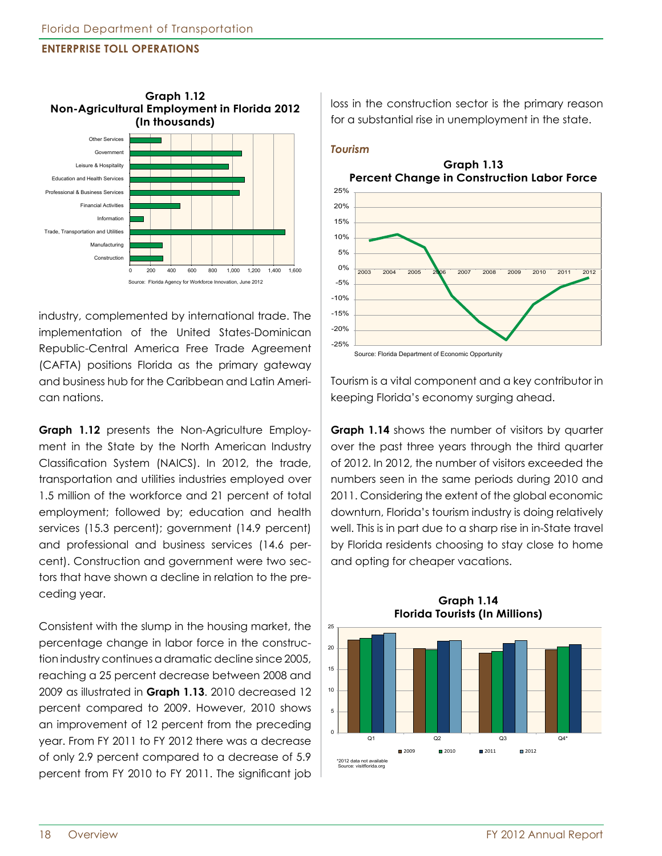

industry, complemented by international trade. The implementation of the United States-Dominican Republic-Central America Free Trade Agreement (CAFTA) positions Florida as the primary gateway and business hub for the Caribbean and Latin American nations.

**Graph 1.12** presents the Non-Agriculture Employment in the State by the North American Industry Classification System (NAICS). In 2012, the trade, transportation and utilities industries employed over 1.5 million of the workforce and 21 percent of total employment; followed by; education and health services (15.3 percent); government (14.9 percent) and professional and business services (14.6 percent). Construction and government were two sectors that have shown a decline in relation to the preceding year.

Consistent with the slump in the housing market, the percentage change in labor force in the construction industry continues a dramatic decline since 2005, reaching a 25 percent decrease between 2008 and 2009 as illustrated in **Graph 1.13**. 2010 decreased 12 percent compared to 2009. However, 2010 shows an improvement of 12 percent from the preceding year. From FY 2011 to FY 2012 there was a decrease of only 2.9 percent compared to a decrease of 5.9 percent from FY 2010 to FY 2011. The significant job loss in the construction sector is the primary reason for a substantial rise in unemployment in the state.

#### *Tourism*

**Graph 1.13 Percent Change in Construction Labor Force**



Tourism is a vital component and a key contributor in keeping Florida's economy surging ahead.

**Graph 1.14** shows the number of visitors by quarter over the past three years through the third quarter of 2012. In 2012, the number of visitors exceeded the numbers seen in the same periods during 2010 and 2011. Considering the extent of the global economic downturn, Florida's tourism industry is doing relatively well. This is in part due to a sharp rise in in-State travel by Florida residents choosing to stay close to home and opting for cheaper vacations.



**Graph 1.14 Florida Tourists (In Millions)**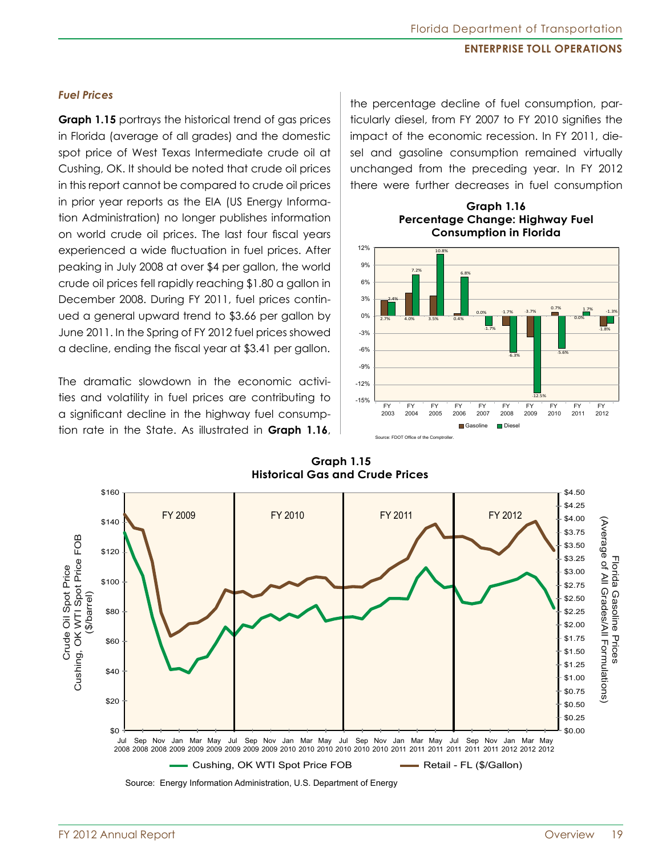#### *Fuel Prices*

**Graph 1.15** portrays the historical trend of gas prices in Florida (average of all grades) and the domestic spot price of West Texas Intermediate crude oil at Cushing, OK. It should be noted that crude oil prices in this report cannot be compared to crude oil prices in prior year reports as the EIA (US Energy Information Administration) no longer publishes information on world crude oil prices. The last four fiscal years experienced a wide fluctuation in fuel prices. After peaking in July 2008 at over \$4 per gallon, the world crude oil prices fell rapidly reaching \$1.80 a gallon in December 2008. During FY 2011, fuel prices continued a general upward trend to \$3.66 per gallon by June 2011. In the Spring of FY 2012 fuel prices showed a decline, ending the fiscal year at \$3.41 per gallon.

The dramatic slowdown in the economic activities and volatility in fuel prices are contributing to a significant decline in the highway fuel consumption rate in the State. As illustrated in **Graph 1.16**, the percentage decline of fuel consumption, particularly diesel, from FY 2007 to FY 2010 signifies the impact of the economic recession. In FY 2011, diesel and gasoline consumption remained virtually unchanged from the preceding year. In FY 2012 there were further decreases in fuel consumption

> **Graph 1.16 Percentage Change: Highway Fuel**







FY 2012 Annual Report Overview 19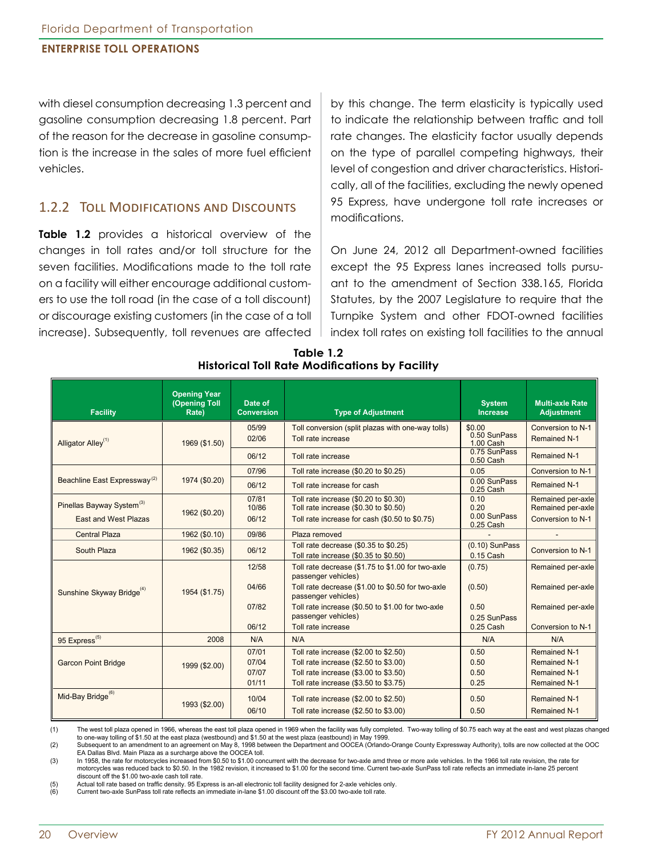with diesel consumption decreasing 1.3 percent and gasoline consumption decreasing 1.8 percent. Part of the reason for the decrease in gasoline consumption is the increase in the sales of more fuel efficient vehicles.

### 1.2.2 Toll Modifications and Discounts

**Table 1.2** provides a historical overview of the changes in toll rates and/or toll structure for the seven facilities. Modifications made to the toll rate on a facility will either encourage additional customers to use the toll road (in the case of a toll discount) or discourage existing customers (in the case of a toll increase). Subsequently, toll revenues are affected

by this change. The term elasticity is typically used to indicate the relationship between traffic and toll rate changes. The elasticity factor usually depends on the type of parallel competing highways, their level of congestion and driver characteristics. Historically, all of the facilities, excluding the newly opened 95 Express, have undergone toll rate increases or modifications.

On June 24, 2012 all Department-owned facilities except the 95 Express lanes increased tolls pursuant to the amendment of Section 338.165, Florida Statutes, by the 2007 Legislature to require that the Turnpike System and other FDOT-owned facilities index toll rates on existing toll facilities to the annual

| <b>Facility</b>                          | <b>Opening Year</b><br><b>(Opening Toll</b><br>Rate) | Date of<br><b>Conversion</b> | <b>Type of Adjustment</b>                                                      | <b>System</b><br><b>Increase</b>    | <b>Multi-axle Rate</b><br><b>Adjustment</b> |
|------------------------------------------|------------------------------------------------------|------------------------------|--------------------------------------------------------------------------------|-------------------------------------|---------------------------------------------|
| Alligator Alley <sup>(1)</sup>           | 1969 (\$1.50)                                        | 05/99<br>02/06               | Toll conversion (split plazas with one-way tolls)<br>Toll rate increase        | \$0.00<br>0.50 SunPass<br>1.00 Cash | Conversion to N-1<br><b>Remained N-1</b>    |
|                                          |                                                      | 06/12                        | Toll rate increase                                                             | 0.75 SunPass<br>0.50 Cash           | Remained N-1                                |
|                                          |                                                      | 07/96                        | Toll rate increase (\$0.20 to \$0.25)                                          | 0.05                                | Conversion to N-1                           |
| Beachline East Expressway <sup>(2)</sup> | 1974 (\$0.20)                                        | 06/12                        | Toll rate increase for cash                                                    | 0.00 SunPass<br>0.25 Cash           | <b>Remained N-1</b>                         |
| Pinellas Bayway System <sup>(3)</sup>    | 1962 (\$0.20)                                        | 07/81<br>10/86               | Toll rate increase (\$0.20 to \$0.30)<br>Toll rate increase (\$0.30 to \$0.50) | 0.10<br>0.20                        | Remained per-axle<br>Remained per-axle      |
| <b>East and West Plazas</b>              |                                                      | 06/12                        | Toll rate increase for cash (\$0.50 to \$0.75)                                 | 0.00 SunPass<br>0.25 Cash           | Conversion to N-1                           |
| <b>Central Plaza</b>                     | 1962 (\$0.10)                                        | 09/86                        | Plaza removed                                                                  |                                     |                                             |
| South Plaza                              | 1962 (\$0.35)                                        | 06/12                        | Toll rate decrease (\$0.35 to \$0.25)<br>Toll rate increase (\$0.35 to \$0.50) | $(0.10)$ SunPass<br>$0.15$ Cash     | Conversion to N-1                           |
|                                          |                                                      | 12/58                        | Toll rate decrease (\$1.75 to \$1.00 for two-axle<br>passenger vehicles)       | (0.75)                              | Remained per-axle                           |
| Sunshine Skyway Bridge <sup>(4)</sup>    | 1954 (\$1.75)                                        | 04/66                        | Toll rate decrease (\$1.00 to \$0.50 for two-axle<br>passenger vehicles)       | (0.50)                              | Remained per-axle                           |
|                                          |                                                      | 07/82                        | Toll rate increase (\$0.50 to \$1.00 for two-axle<br>passenger vehicles)       | 0.50<br>0.25 SunPass                | Remained per-axle                           |
|                                          |                                                      | 06/12                        | Toll rate increase                                                             | 0.25 Cash                           | Conversion to N-1                           |
| 95 Express <sup>(5)</sup>                | 2008                                                 | N/A                          | N/A                                                                            | N/A                                 | N/A                                         |
|                                          |                                                      | 07/01                        | Toll rate increase (\$2.00 to \$2.50)                                          | 0.50                                | Remained N-1                                |
| <b>Garcon Point Bridge</b>               | 1999 (\$2.00)                                        | 07/04                        | Toll rate increase (\$2.50 to \$3.00)                                          | 0.50                                | <b>Remained N-1</b>                         |
|                                          |                                                      | 07/07                        | Toll rate increase (\$3.00 to \$3.50)                                          | 0.50                                | <b>Remained N-1</b>                         |
|                                          |                                                      | 01/11                        | Toll rate increase (\$3.50 to \$3.75)                                          | 0.25                                | <b>Remained N-1</b>                         |
| Mid-Bay Bridge <sup>(6)</sup>            | 1993 (\$2.00)                                        | 10/04                        | Toll rate increase (\$2.00 to \$2.50)                                          | 0.50                                | Remained N-1                                |
|                                          |                                                      | 06/10                        | Toll rate increase (\$2.50 to \$3.00)                                          | 0.50                                | <b>Remained N-1</b>                         |

#### **Table 1.2 Historical Toll Rate Modifications by Facility**

(1) The west toll plaza opened in 1966, whereas the east toll plaza opened in 1969 when the facility was fully completed. Two-way tolling of \$0.75 each way at the east and west plazas changed<br>to one-way tolling of \$1.50 at

(2) Subsequent to an amendment to an agreement on May 8, 1998 between the Department and OOCEA (Orlando-Orange County Expressway Authority), tolls are now collected at the OOC EA Dallas Blvd. Main Plaza as a surcharge above the OOCEA toll.<br>(3) In 1958, the rate for motorcycles increased from \$0.50 to \$1.00 cor

In 1958, the rate for motorcycles increased from \$0.50 to \$1.00 concurrent with the decrease for two-axle amd three or more axle vehicles. In the 1966 toll rate revision, the rate for motorcycles was reduced back to \$0.50. In the 1982 revision, it increased to \$1.00 for the second time. Current two-axle SunPass toll rate reflects an immediate in-lane 25 percent discount off the \$1.00 two-axle cash toll rate.<br>(5) Actual toll rate based on traffic density. 95 Ex

(5) Actual toll rate based on traffic density. 95 Express is an-all electronic toll facility designed for 2-axle vehicles only.<br>(6) Current two-axle SunPass toll rate reflects an immediate in-lane \$1.00 discount off the \$3

Current two-axle SunPass toll rate reflects an immediate in-lane \$1.00 discount off the \$3.00 two-axle toll rate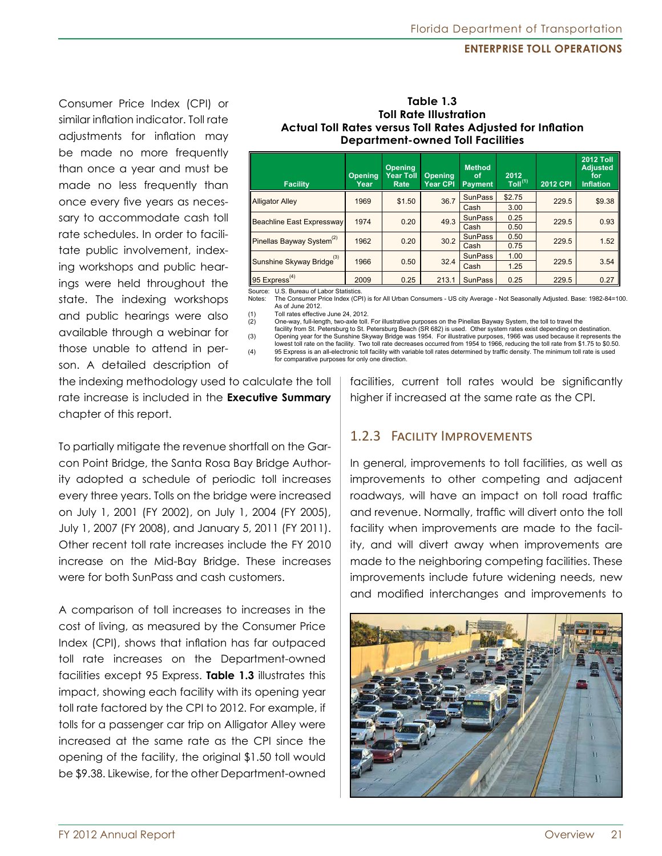Consumer Price Index (CPI) or similar inflation indicator. Toll rate adjustments for inflation may be made no more frequently than once a year and must be made no less frequently than once every five years as necessary to accommodate cash toll rate schedules. In order to facilitate public involvement, indexing workshops and public hearings were held throughout the state. The indexing workshops and public hearings were also available through a webinar for those unable to attend in person. A detailed description of

| <b>Actual Toll Rates versus Toll Rates Adjusted for Inflation</b><br><b>Department-owned Toll Facilities</b> |                        |                                            |                                   |                                       |                          |                 |                                                                |  |  |
|--------------------------------------------------------------------------------------------------------------|------------------------|--------------------------------------------|-----------------------------------|---------------------------------------|--------------------------|-----------------|----------------------------------------------------------------|--|--|
| <b>Facility</b>                                                                                              | <b>Opening</b><br>Year | <b>Opening</b><br><b>Year Toll</b><br>Rate | <b>Opening</b><br><b>Year CPI</b> | <b>Method</b><br>οf<br><b>Payment</b> | 2012<br>$T$ oll $^{(1)}$ | <b>2012 CPI</b> | <b>2012 Toll</b><br><b>Adjusted</b><br>for<br><b>Inflation</b> |  |  |
| <b>Alligator Alley</b>                                                                                       | 1969                   | \$1.50                                     | 36.7                              | <b>SunPass</b>                        | \$2.75                   | 229.5           | \$9.38                                                         |  |  |
|                                                                                                              |                        | 3.00<br>Cash                               |                                   |                                       |                          |                 |                                                                |  |  |
| <b>Beachline East Expressway</b>                                                                             | 1974                   | 0.20                                       | 49.3                              | <b>SunPass</b>                        | 0.25                     | 229.5           | 0.93                                                           |  |  |
|                                                                                                              |                        |                                            |                                   | Cash                                  | 0.50                     |                 |                                                                |  |  |
| Pinellas Bayway System <sup>(2)</sup>                                                                        | 1962                   | 0.20                                       | 30.2                              | <b>SunPass</b>                        | 0.50                     | 229.5           | 1.52                                                           |  |  |
|                                                                                                              |                        |                                            |                                   | 0.75<br>Cash                          |                          |                 |                                                                |  |  |
| Sunshine Skyway Bridge <sup>(3)</sup>                                                                        |                        |                                            |                                   | <b>SunPass</b>                        | 1.00                     |                 |                                                                |  |  |
|                                                                                                              | 1966                   | 0.50                                       | 32.4                              | Cash                                  | 1.25                     | 229.5           | 3.54                                                           |  |  |

**Table 1.3 Toll Rate Illustration**

Source: U.S. Bureau of Labor Statistics.<br>Notes: The Consumer Price Index (CP

The Consumer Price Index (CPI) is for All Urban Consumers - US city Average - Not Seasonally Adjusted. Base: 1982-84=100. As of June 2012.<br>(1) Toll rates effective

95 Express<sup>(4)</sup>

(1) Toll rates effective June 24, 2012.<br>(2) One-way, full-length, two-axle toll. One-way, full-length, two-axle toll. For illustrative purposes on the Pinellas Bayway System, the toll to travel the

 facility from St. Petersburg to St. Petersburg Beach (SR 682) is used. Other system rates exist depending on destination. Opening year for the Sunshine Skyway Bridge was 1954. For illustrative purposes, 1966 was used because it represents the lowest toll rate on the facility. Two toll rate decreases occurred from 1954 to 1966, reducing the toll rate from \$1.75 to \$0.50.<br>95 Express is an all-electronic toll facility with variable toll rates determined by traffic (4) 95 Express is an all-electronic toll facility with variable toll rates determined by traffic density. The minimum toll rate is used

for comparative purposes for only one direction.

the indexing methodology used to calculate the toll rate increase is included in the **Executive Summary**  chapter of this report.

To partially mitigate the revenue shortfall on the Garcon Point Bridge, the Santa Rosa Bay Bridge Authority adopted a schedule of periodic toll increases every three years. Tolls on the bridge were increased on July 1, 2001 (FY 2002), on July 1, 2004 (FY 2005), July 1, 2007 (FY 2008), and January 5, 2011 (FY 2011). Other recent toll rate increases include the FY 2010 increase on the Mid-Bay Bridge. These increases were for both SunPass and cash customers.

A comparison of toll increases to increases in the cost of living, as measured by the Consumer Price Index (CPI), shows that inflation has far outpaced toll rate increases on the Department-owned facilities except 95 Express. **Table 1.3** illustrates this impact, showing each facility with its opening year toll rate factored by the CPI to 2012. For example, if tolls for a passenger car trip on Alligator Alley were increased at the same rate as the CPI since the opening of the facility, the original \$1.50 toll would be \$9.38. Likewise, for the other Department-owned facilities, current toll rates would be significantly higher if increased at the same rate as the CPI.

2009 | 0.25 | 213.1 | SunPass | 0.25 | 229.5 | 0.27

# 1.2.3 Facility Improvements

In general, improvements to toll facilities, as well as improvements to other competing and adjacent roadways, will have an impact on toll road traffic and revenue. Normally, traffic will divert onto the toll facility when improvements are made to the facility, and will divert away when improvements are made to the neighboring competing facilities. These improvements include future widening needs, new and modified interchanges and improvements to

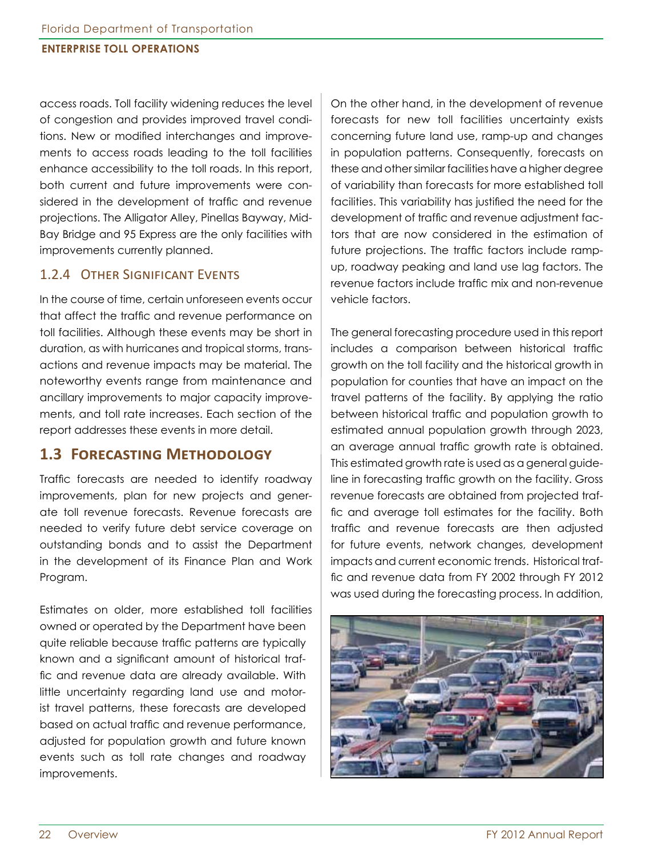access roads. Toll facility widening reduces the level of congestion and provides improved travel conditions. New or modified interchanges and improvements to access roads leading to the toll facilities enhance accessibility to the toll roads. In this report, both current and future improvements were considered in the development of traffic and revenue projections. The Alligator Alley, Pinellas Bayway, Mid-Bay Bridge and 95 Express are the only facilities with improvements currently planned.

#### 1.2.4 Other Significant Events

In the course of time, certain unforeseen events occur that affect the traffic and revenue performance on toll facilities. Although these events may be short in duration, as with hurricanes and tropical storms, transactions and revenue impacts may be material. The noteworthy events range from maintenance and ancillary improvements to major capacity improvements, and toll rate increases. Each section of the report addresses these events in more detail.

### **1.3 Forecasting Methodology**

Traffic forecasts are needed to identify roadway improvements, plan for new projects and generate toll revenue forecasts. Revenue forecasts are needed to verify future debt service coverage on outstanding bonds and to assist the Department in the development of its Finance Plan and Work Program.

Estimates on older, more established toll facilities owned or operated by the Department have been quite reliable because traffic patterns are typically known and a significant amount of historical traffic and revenue data are already available. With little uncertainty regarding land use and motorist travel patterns, these forecasts are developed based on actual traffic and revenue performance, adjusted for population growth and future known events such as toll rate changes and roadway improvements.

On the other hand, in the development of revenue forecasts for new toll facilities uncertainty exists concerning future land use, ramp-up and changes in population patterns. Consequently, forecasts on these and other similar facilities have a higher degree of variability than forecasts for more established toll facilities. This variability has justified the need for the development of traffic and revenue adjustment factors that are now considered in the estimation of future projections. The traffic factors include rampup, roadway peaking and land use lag factors. The revenue factors include traffic mix and non-revenue vehicle factors.

The general forecasting procedure used in this report includes a comparison between historical traffic growth on the toll facility and the historical growth in population for counties that have an impact on the travel patterns of the facility. By applying the ratio between historical traffic and population growth to estimated annual population growth through 2023, an average annual traffic growth rate is obtained. This estimated growth rate is used as a general guideline in forecasting traffic growth on the facility. Gross revenue forecasts are obtained from projected traffic and average toll estimates for the facility. Both traffic and revenue forecasts are then adjusted for future events, network changes, development impacts and current economic trends. Historical traffic and revenue data from FY 2002 through FY 2012 was used during the forecasting process. In addition,

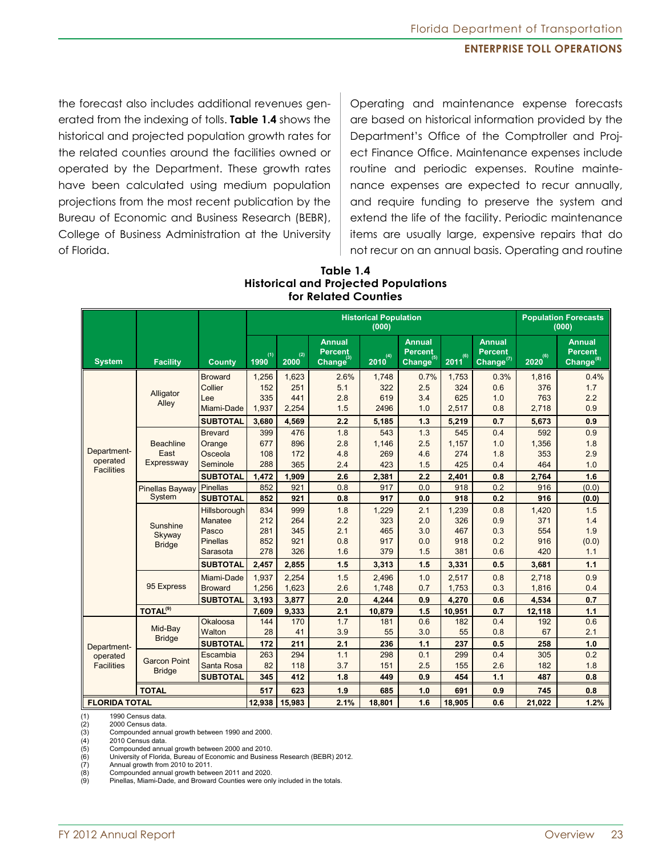the forecast also includes additional revenues generated from the indexing of tolls. **Table 1.4** shows the historical and projected population growth rates for the related counties around the facilities owned or operated by the Department. These growth rates have been calculated using medium population projections from the most recent publication by the Bureau of Economic and Business Research (BEBR), College of Business Administration at the University of Florida.

Operating and maintenance expense forecasts are based on historical information provided by the Department's Office of the Comptroller and Project Finance Office. Maintenance expenses include routine and periodic expenses. Routine maintenance expenses are expected to recur annually, and require funding to preserve the system and extend the life of the facility. Periodic maintenance items are usually large, expensive repairs that do not recur on an annual basis. Operating and routine

#### **Table 1.4 Historical and Projected Populations for Related Counties**

|                         |                            |                 | <b>Historical Population</b><br>(000) |             |                                                          |              |                                                          |             | <b>Population Forecasts</b><br>(000)               |              |                                                          |
|-------------------------|----------------------------|-----------------|---------------------------------------|-------------|----------------------------------------------------------|--------------|----------------------------------------------------------|-------------|----------------------------------------------------|--------------|----------------------------------------------------------|
| <b>System</b>           | <b>Facility</b>            | <b>County</b>   | (1)<br>1990                           | (2)<br>2000 | <b>Annual</b><br><b>Percent</b><br>Change <sup>(3)</sup> | $2010^{(4)}$ | <b>Annual</b><br><b>Percent</b><br>Change <sup>(5)</sup> | (6)<br>2011 | <b>Annual</b><br><b>Percent</b><br>Change $^{(7)}$ | $2020^{(6)}$ | <b>Annual</b><br><b>Percent</b><br>Change <sup>(8)</sup> |
|                         |                            | <b>Broward</b>  | 1,256                                 | 1,623       | 2.6%                                                     | 1,748        | 0.7%                                                     | 1,753       | 0.3%                                               | 1,816        | 0.4%                                                     |
|                         | Alligator                  | Collier         | 152                                   | 251         | 5.1                                                      | 322          | 2.5                                                      | 324         | 0.6                                                | 376          | 1.7                                                      |
|                         | Alley                      | Lee             | 335                                   | 441         | 2.8                                                      | 619          | 3.4                                                      | 625         | 1.0                                                | 763          | 2.2                                                      |
|                         |                            | Miami-Dade      | 1,937                                 | 2,254       | 1.5                                                      | 2496         | 1.0                                                      | 2,517       | 0.8                                                | 2,718        | 0.9                                                      |
|                         |                            | <b>SUBTOTAL</b> | 3,680                                 | 4,569       | 2.2                                                      | 5,185        | 1.3                                                      | 5,219       | 0.7                                                | 5,673        | 0.9                                                      |
|                         |                            | <b>Brevard</b>  | 399                                   | 476         | 1.8                                                      | 543          | 1.3                                                      | 545         | 0.4                                                | 592          | 0.9                                                      |
|                         | <b>Beachline</b>           | Orange          | 677                                   | 896         | 2.8                                                      | 1,146        | 2.5                                                      | 1,157       | 1.0                                                | 1,356        | 1.8                                                      |
| Department-<br>operated | East                       | Osceola         | 108                                   | 172         | 4.8                                                      | 269          | 4.6                                                      | 274         | 1.8                                                | 353          | 2.9                                                      |
| <b>Facilities</b>       | Expressway                 | Seminole        | 288                                   | 365         | 2.4                                                      | 423          | 1.5                                                      | 425         | 0.4                                                | 464          | 1.0                                                      |
|                         |                            | <b>SUBTOTAL</b> | 1,472                                 | 1,909       | 2.6                                                      | 2,381        | 2.2                                                      | 2,401       | 0.8                                                | 2,764        | 1.6                                                      |
|                         | <b>Pinellas Bayway</b>     | <b>Pinellas</b> | 852                                   | 921         | 0.8                                                      | 917          | 0.0                                                      | 918         | 0.2                                                | 916          | (0.0)                                                    |
|                         | System                     | <b>SUBTOTAL</b> | 852                                   | 921         | 0.8                                                      | 917          | 0.0                                                      | 918         | 0.2                                                | 916          | (0.0)                                                    |
|                         | Sunshine                   | Hillsborough    | 834                                   | 999         | 1.8                                                      | 1,229        | 2.1                                                      | 1,239       | 0.8                                                | 1,420        | 1.5                                                      |
|                         |                            | Manatee         | 212                                   | 264         | 2.2                                                      | 323          | 2.0                                                      | 326         | 0.9                                                | 371          | 1.4                                                      |
|                         | Skyway                     | Pasco           | 281                                   | 345         | 2.1                                                      | 465          | 3.0                                                      | 467         | 0.3                                                | 554          | 1.9                                                      |
|                         | <b>Bridge</b>              | <b>Pinellas</b> | 852                                   | 921         | 0.8                                                      | 917          | 0.0                                                      | 918         | 0.2                                                | 916          | (0.0)                                                    |
|                         |                            | Sarasota        | 278                                   | 326         | 1.6                                                      | 379          | 1.5                                                      | 381         | 0.6                                                | 420          | 1.1                                                      |
|                         |                            | <b>SUBTOTAL</b> | 2,457                                 | 2,855       | 1.5                                                      | 3,313        | 1.5                                                      | 3,331       | 0.5                                                | 3,681        | 1.1                                                      |
|                         |                            | Miami-Dade      | 1,937                                 | 2,254       | 1.5                                                      | 2,496        | 1.0                                                      | 2,517       | 0.8                                                | 2,718        | 0.9                                                      |
|                         | 95 Express                 | <b>Broward</b>  | 1,256                                 | 1,623       | 2.6                                                      | 1,748        | 0.7                                                      | 1,753       | 0.3                                                | 1,816        | 0.4                                                      |
|                         |                            | <b>SUBTOTAL</b> | 3,193                                 | 3.877       | 2.0                                                      | 4,244        | 0.9                                                      | 4,270       | 0.6                                                | 4,534        | 0.7                                                      |
|                         | <b>TOTAL<sup>(9)</sup></b> |                 | 7,609                                 | 9,333       | 2.1                                                      | 10,879       | 1.5                                                      | 10,951      | 0.7                                                | 12,118       | 1.1                                                      |
|                         |                            | Okaloosa        | 144                                   | 170         | 1.7                                                      | 181          | 0.6                                                      | 182         | 0.4                                                | 192          | 0.6                                                      |
|                         | Mid-Bay<br><b>Bridge</b>   | Walton          | 28                                    | 41          | 3.9                                                      | 55           | 3.0                                                      | 55          | 0.8                                                | 67           | 2.1                                                      |
| Department-             |                            | <b>SUBTOTAL</b> | 172                                   | 211         | 2.1                                                      | 236          | 1.1                                                      | 237         | 0.5                                                | 258          | 1.0                                                      |
| operated                | <b>Garcon Point</b>        | Escambia        | 263                                   | 294         | 1.1                                                      | 298          | 0.1                                                      | 299         | 0.4                                                | 305          | 0.2                                                      |
| <b>Facilities</b>       | <b>Bridge</b>              | Santa Rosa      | 82                                    | 118         | 3.7                                                      | 151          | 2.5                                                      | 155         | 2.6                                                | 182          | 1.8                                                      |
|                         |                            | <b>SUBTOTAL</b> | 345                                   | 412         | 1.8                                                      | 449          | 0.9                                                      | 454         | 1.1                                                | 487          | 0.8                                                      |
|                         | <b>TOTAL</b>               |                 | 517                                   | 623         | 1.9                                                      | 685          | 1.0                                                      | 691         | 0.9                                                | 745          | 0.8                                                      |
| <b>FLORIDA TOTAL</b>    |                            | 12,938          | 15,983                                | 2.1%        | 18,801                                                   | 1.6          | 18,905                                                   | 0.6         | 21,022                                             | 1.2%         |                                                          |

(1) 1990 Census data.

(2) 2000 Census data<br>(3) Compounded annu

2010 Census data.

(3) Compounded annual growth between 1990 and 2000.<br>(4) 2010 Census data.<br>(5) Compounded annual growth between 2000 and 2010.<br>(6) University of Florida, Bureau of Economic and Busine Compounded annual growth between 2000 and 2010.

University of Florida, Bureau of Economic and Business Research (BEBR) 2012.

(7) Annual growth from 2010 to 2011.<br>(8) Compounded annual growth betwe

Compounded annual growth between 2011 and 2020.

(9) Pinellas, Miami-Dade, and Broward Counties were only included in the totals.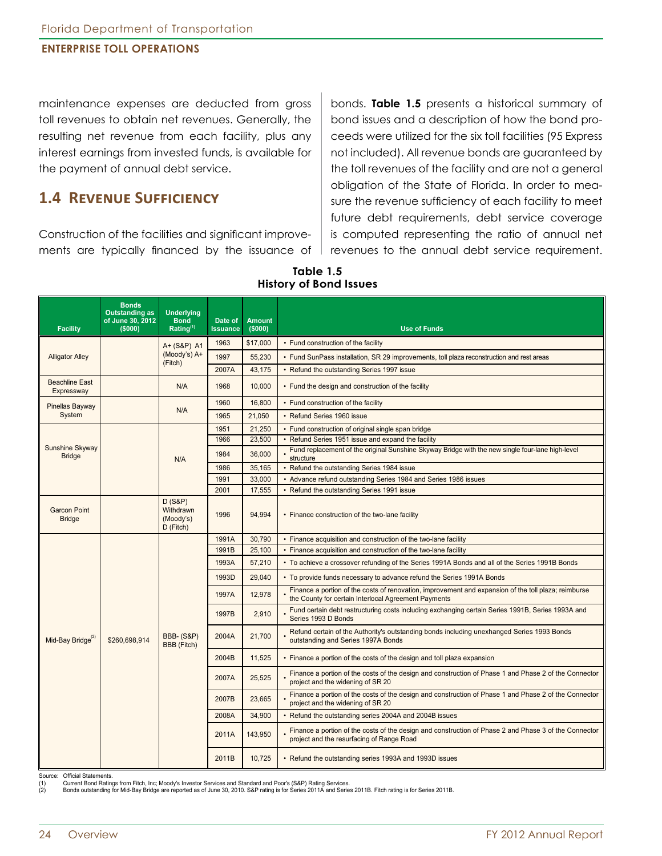maintenance expenses are deducted from gross toll revenues to obtain net revenues. Generally, the resulting net revenue from each facility, plus any interest earnings from invested funds, is available for the payment of annual debt service.

## **1.4 Revenue Sufficiency**

Construction of the facilities and significant improvements are typically financed by the issuance of

bonds. **Table 1.5** presents a historical summary of bond issues and a description of how the bond proceeds were utilized for the six toll facilities (95 Express not included). All revenue bonds are guaranteed by the toll revenues of the facility and are not a general obligation of the State of Florida. In order to measure the revenue sufficiency of each facility to meet future debt requirements, debt service coverage is computed representing the ratio of annual net revenues to the annual debt service requirement.

**Table 1.5 History of Bond Issues**

| <b>Facility</b>                      | <b>Bonds</b><br><b>Outstanding as</b><br>of June 30, 2012<br>(5000) | <b>Underlying</b><br><b>Bond</b><br>Rating <sup>(1)</sup> | Date of<br><b>Issuance</b> | <b>Amount</b><br>(5000)                                | <b>Use of Funds</b>                                                                                                                                          |
|--------------------------------------|---------------------------------------------------------------------|-----------------------------------------------------------|----------------------------|--------------------------------------------------------|--------------------------------------------------------------------------------------------------------------------------------------------------------------|
|                                      |                                                                     | A+ (S&P) A1                                               | 1963                       | \$17,000                                               | • Fund construction of the facility                                                                                                                          |
| <b>Alligator Alley</b>               |                                                                     | (Moody's) A+<br>(Fitch)                                   | 1997                       | 55,230                                                 | • Fund SunPass installation, SR 29 improvements, toll plaza reconstruction and rest areas                                                                    |
|                                      |                                                                     |                                                           | 2007A                      | 43,175                                                 | • Refund the outstanding Series 1997 issue                                                                                                                   |
| <b>Beachline East</b><br>Expressway  |                                                                     | N/A                                                       | 1968                       | 10,000                                                 | • Fund the design and construction of the facility                                                                                                           |
| Pinellas Bayway                      |                                                                     | N/A                                                       | 1960                       | 16,800                                                 | • Fund construction of the facility                                                                                                                          |
| System                               |                                                                     |                                                           | 1965                       | 21,050                                                 | • Refund Series 1960 issue                                                                                                                                   |
|                                      |                                                                     |                                                           | 1951                       | 21,250                                                 | • Fund construction of original single span bridge                                                                                                           |
|                                      |                                                                     |                                                           | 1966                       | 23,500                                                 | • Refund Series 1951 issue and expand the facility                                                                                                           |
| Sunshine Skyway<br><b>Bridge</b>     |                                                                     | N/A                                                       | 1984                       | 36,000                                                 | Fund replacement of the original Sunshine Skyway Bridge with the new single four-lane high-level<br>structure                                                |
|                                      |                                                                     |                                                           | 1986                       | 35,165                                                 | • Refund the outstanding Series 1984 issue                                                                                                                   |
|                                      |                                                                     |                                                           | 1991                       | 33.000                                                 | • Advance refund outstanding Series 1984 and Series 1986 issues                                                                                              |
|                                      |                                                                     |                                                           | 2001                       | 17,555                                                 | • Refund the outstanding Series 1991 issue                                                                                                                   |
| <b>Garcon Point</b><br><b>Bridge</b> |                                                                     | $D(S\&P)$<br>Withdrawn<br>(Moody's)<br>D (Fitch)          | 1996                       | 94,994                                                 | • Finance construction of the two-lane facility                                                                                                              |
|                                      | \$260,698,914                                                       |                                                           | 1991A                      | 30,790                                                 | • Finance acquisition and construction of the two-lane facility                                                                                              |
|                                      |                                                                     |                                                           | 1991B                      | 25,100                                                 | • Finance acquisition and construction of the two-lane facility                                                                                              |
|                                      |                                                                     |                                                           | 1993A                      | 57,210                                                 | • To achieve a crossover refunding of the Series 1991A Bonds and all of the Series 1991B Bonds                                                               |
|                                      |                                                                     |                                                           | 1993D                      | 29,040                                                 | • To provide funds necessary to advance refund the Series 1991A Bonds                                                                                        |
|                                      |                                                                     |                                                           | 1997A                      | 12,978                                                 | Finance a portion of the costs of renovation, improvement and expansion of the toll plaza; reimburse<br>the County for certain Interlocal Agreement Payments |
|                                      |                                                                     | <b>BBB- (S&amp;P)</b><br>BBB (Fitch)                      | 1997B                      | 2,910                                                  | Fund certain debt restructuring costs including exchanging certain Series 1991B, Series 1993A and<br>Series 1993 D Bonds                                     |
| Mid-Bay Bridge <sup>(2)</sup>        |                                                                     |                                                           | 2004A                      | 21,700                                                 | Refund certain of the Authority's outstanding bonds including unexhanged Series 1993 Bonds<br>outstanding and Series 1997A Bonds                             |
|                                      |                                                                     |                                                           | 2004B                      | 11,525                                                 | • Finance a portion of the costs of the design and toll plaza expansion                                                                                      |
|                                      |                                                                     |                                                           | 2007A                      | 25,525                                                 | Finance a portion of the costs of the design and construction of Phase 1 and Phase 2 of the Connector<br>project and the widening of SR 20                   |
|                                      |                                                                     |                                                           | 2007B                      | 23,665                                                 | Finance a portion of the costs of the design and construction of Phase 1 and Phase 2 of the Connector<br>project and the widening of SR 20                   |
|                                      |                                                                     |                                                           | 2008A                      | 34,900                                                 | • Refund the outstanding series 2004A and 2004B issues                                                                                                       |
|                                      |                                                                     |                                                           | 2011A                      | 143,950                                                | Finance a portion of the costs of the design and construction of Phase 2 and Phase 3 of the Connector<br>project and the resurfacing of Range Road           |
|                                      |                                                                     | 2011B                                                     | 10,725                     | • Refund the outstanding series 1993A and 1993D issues |                                                                                                                                                              |

Source: Official Statements.<br>(1) Current Bond Ratin

(1) Current Bond Ratings from Fitch, Inc; Moody's Investor Services and Standard and Poor's (S&P) Rating Services.<br>(2) Bonds outstanding for Mid-Bay Bridge are reported as of June 30, 2010. S&P rating is for Series 201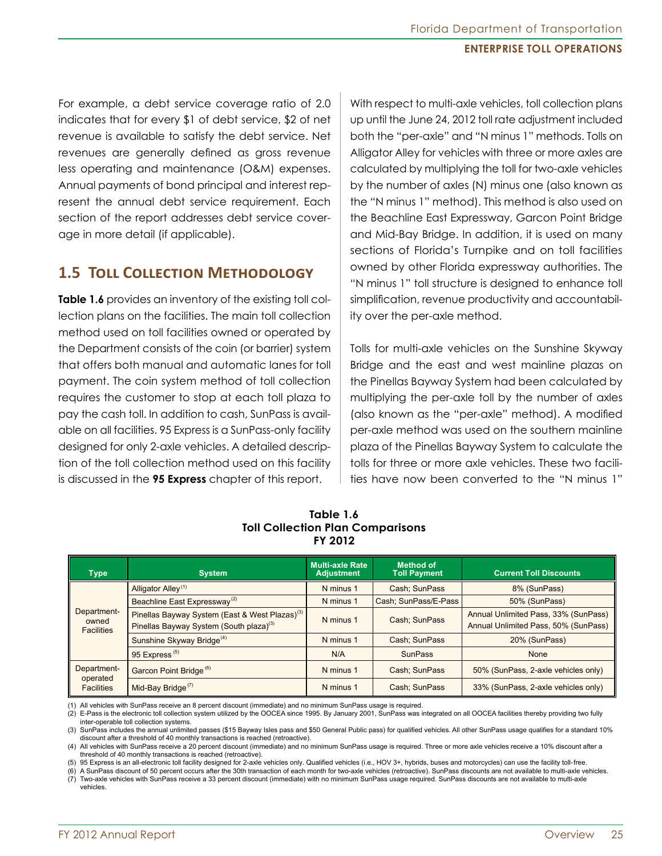For example, a debt service coverage ratio of 2.0 indicates that for every \$1 of debt service, \$2 of net revenue is available to satisfy the debt service. Net revenues are generally defined as gross revenue less operating and maintenance (O&M) expenses. Annual payments of bond principal and interest represent the annual debt service requirement. Each section of the report addresses debt service coverage in more detail (if applicable).

# **1.5 Toll Collection Methodology**

**Table 1.6** provides an inventory of the existing toll collection plans on the facilities. The main toll collection method used on toll facilities owned or operated by the Department consists of the coin (or barrier) system that offers both manual and automatic lanes for toll payment. The coin system method of toll collection requires the customer to stop at each toll plaza to pay the cash toll. In addition to cash, SunPass is available on all facilities. 95 Express is a SunPass-only facility designed for only 2-axle vehicles. A detailed description of the toll collection method used on this facility is discussed in the **95 Express** chapter of this report.

With respect to multi-axle vehicles, toll collection plans up until the June 24, 2012 toll rate adjustment included both the "per-axle" and "N minus 1" methods. Tolls on Alligator Alley for vehicles with three or more axles are calculated by multiplying the toll for two-axle vehicles by the number of axles (N) minus one (also known as the "N minus 1" method). This method is also used on the Beachline East Expressway, Garcon Point Bridge and Mid-Bay Bridge. In addition, it is used on many sections of Florida's Turnpike and on toll facilities owned by other Florida expressway authorities. The "N minus 1" toll structure is designed to enhance toll simplification, revenue productivity and accountability over the per-axle method.

Tolls for multi-axle vehicles on the Sunshine Skyway Bridge and the east and west mainline plazas on the Pinellas Bayway System had been calculated by multiplying the per-axle toll by the number of axles (also known as the "per-axle" method). A modified per-axle method was used on the southern mainline plaza of the Pinellas Bayway System to calculate the tolls for three or more axle vehicles. These two facilities have now been converted to the "N minus 1"

|                                           |                                                                                                                   | FY 2012                                     |                                         |                                                                              |
|-------------------------------------------|-------------------------------------------------------------------------------------------------------------------|---------------------------------------------|-----------------------------------------|------------------------------------------------------------------------------|
| <b>Type</b>                               | <b>System</b>                                                                                                     | <b>Multi-axle Rate</b><br><b>Adjustment</b> | <b>Method of</b><br><b>Toll Payment</b> | <b>Current Toll Discounts</b>                                                |
|                                           | Alligator Alley <sup>(1)</sup>                                                                                    | N minus 1                                   | Cash; SunPass                           | 8% (SunPass)                                                                 |
|                                           | Beachline East Expressway <sup>(2)</sup>                                                                          | N minus 1                                   | Cash; SunPass/E-Pass                    | 50% (SunPass)                                                                |
| Department-<br>owned<br><b>Facilities</b> | Pinellas Bayway System (East & West Plazas) <sup>(3)</sup><br>Pinellas Bayway System (South plaza) <sup>(3)</sup> | N minus 1                                   | Cash: SunPass                           | Annual Unlimited Pass, 33% (SunPass)<br>Annual Unlimited Pass, 50% (SunPass) |
|                                           | Sunshine Skyway Bridge <sup>(4)</sup>                                                                             | N minus 1                                   | Cash; SunPass                           | 20% (SunPass)                                                                |
|                                           | 95 Express <sup>(5)</sup>                                                                                         | N/A                                         | <b>SunPass</b>                          | None                                                                         |
| Department-<br>operated                   | Garcon Point Bridge <sup>(6)</sup>                                                                                | N minus 1                                   | Cash; SunPass                           | 50% (SunPass, 2-axle vehicles only)                                          |
| <b>Facilities</b>                         | Mid-Bay Bridge <sup>(7)</sup>                                                                                     | N minus 1                                   | Cash: SunPass                           | 33% (SunPass, 2-axle vehicles only)                                          |

**Table 1.6 Toll Collection Plan Comparisons**

(1) All vehicles with SunPass receive an 8 percent discount (immediate) and no minimum SunPass usage is required.

(2) E-Pass is the electronic toll collection system utilized by the OOCEA since 1995. By January 2001, SunPass was integrated on all OOCEA facilities thereby providing two fully inter-operable toll collection systems.

(3) SunPass includes the annual unlimited passes (\$15 Bayway Isles pass and \$50 General Public pass) for qualified vehicles. All other SunPass usage qualifies for a standard 10% discount after a threshold of 40 monthly transactions is reached (retroactive).

(4) All vehicles with SunPass receive a 20 percent discount (immediate) and no minimum SunPass usage is required. Three or more axle vehicles receive a 10% discount after a threshold of 40 monthly transactions is reached (retroactive).

(5) 95 Express is an all-electronic toll facility designed for 2-axle vehicles only. Qualified vehicles (i.e., HOV 3+, hybrids, buses and motorcycles) can use the facility toll-free.

(6) A SunPass discount of 50 percent occurs after the 30th transaction of each month for two-axle vehicles (retroactive). SunPass discounts are not available to multi-axle vehicles.

(7) Two-axle vehicles with SunPass receive a 33 percent discount (immediate) with no minimum SunPass usage required. SunPass discounts are not available to multi-axle vehicles.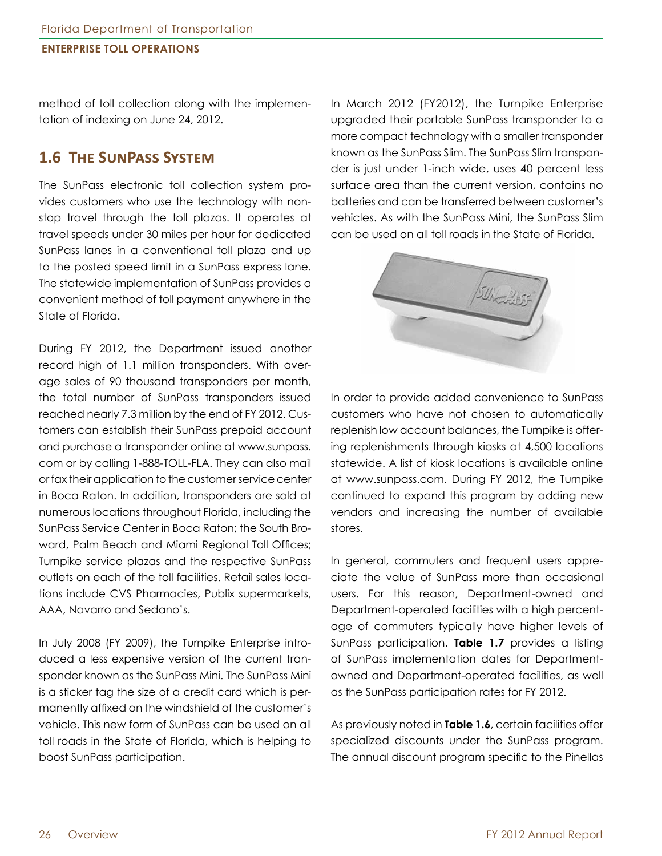method of toll collection along with the implementation of indexing on June 24, 2012.

# **1.6 The SunPass System**

The SunPass electronic toll collection system provides customers who use the technology with nonstop travel through the toll plazas. It operates at travel speeds under 30 miles per hour for dedicated SunPass lanes in a conventional toll plaza and up to the posted speed limit in a SunPass express lane. The statewide implementation of SunPass provides a convenient method of toll payment anywhere in the State of Florida.

During FY 2012, the Department issued another record high of 1.1 million transponders. With average sales of 90 thousand transponders per month, the total number of SunPass transponders issued reached nearly 7.3 million by the end of FY 2012. Customers can establish their SunPass prepaid account and purchase a transponder online at www.sunpass. com or by calling 1-888-TOLL-FLA. They can also mail or fax their application to the customer service center in Boca Raton. In addition, transponders are sold at numerous locations throughout Florida, including the SunPass Service Center in Boca Raton; the South Broward, Palm Beach and Miami Regional Toll Offices; Turnpike service plazas and the respective SunPass outlets on each of the toll facilities. Retail sales locations include CVS Pharmacies, Publix supermarkets, AAA, Navarro and Sedano's.

In July 2008 (FY 2009), the Turnpike Enterprise introduced a less expensive version of the current transponder known as the SunPass Mini. The SunPass Mini is a sticker tag the size of a credit card which is permanently affixed on the windshield of the customer's vehicle. This new form of SunPass can be used on all toll roads in the State of Florida, which is helping to boost SunPass participation.

In March 2012 (FY2012), the Turnpike Enterprise upgraded their portable SunPass transponder to a more compact technology with a smaller transponder known as the SunPass Slim. The SunPass Slim transponder is just under 1-inch wide, uses 40 percent less surface area than the current version, contains no batteries and can be transferred between customer's vehicles. As with the SunPass Mini, the SunPass Slim can be used on all toll roads in the State of Florida.



In order to provide added convenience to SunPass customers who have not chosen to automatically replenish low account balances, the Turnpike is offering replenishments through kiosks at 4,500 locations statewide. A list of kiosk locations is available online at www.sunpass.com. During FY 2012, the Turnpike continued to expand this program by adding new vendors and increasing the number of available stores.

In general, commuters and frequent users appreciate the value of SunPass more than occasional users. For this reason, Department-owned and Department-operated facilities with a high percentage of commuters typically have higher levels of SunPass participation. **Table 1.7** provides a listing of SunPass implementation dates for Departmentowned and Department-operated facilities, as well as the SunPass participation rates for FY 2012.

As previously noted in **Table 1.6**, certain facilities offer specialized discounts under the SunPass program. The annual discount program specific to the Pinellas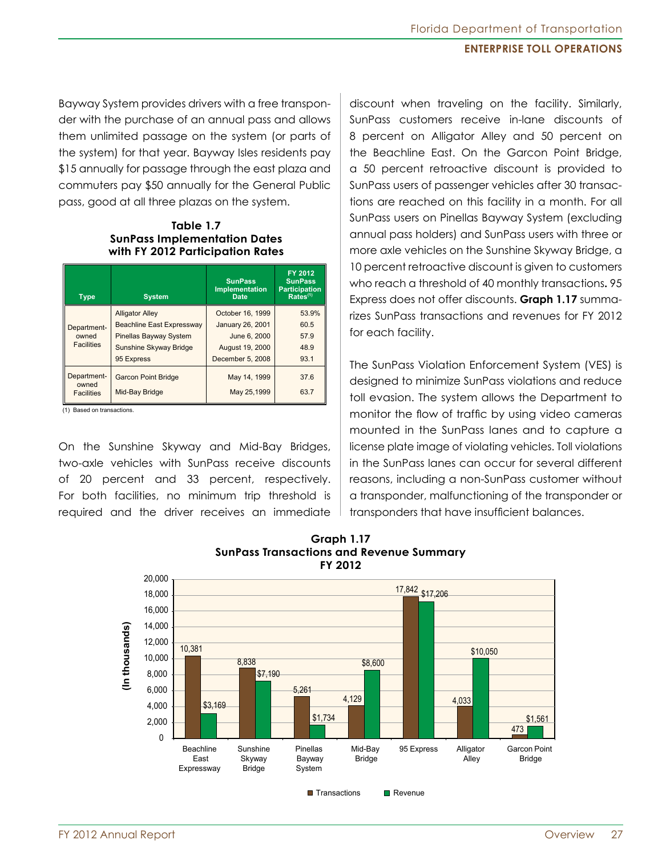Bayway System provides drivers with a free transponder with the purchase of an annual pass and allows them unlimited passage on the system (or parts of the system) for that year. Bayway Isles residents pay \$15 annually for passage through the east plaza and commuters pay \$50 annually for the General Public pass, good at all three plazas on the system.

**Table 1.7 SunPass Implementation Dates with FY 2012 Participation Rates**

| <b>Type</b>          | <b>System</b>                    | <b>SunPass</b><br><b>Implementation</b><br><b>Date</b> | FY 2012<br><b>SunPass</b><br><b>Participation</b><br>$Rates^{(1)}$ |
|----------------------|----------------------------------|--------------------------------------------------------|--------------------------------------------------------------------|
|                      | <b>Alligator Alley</b>           | October 16, 1999                                       | 53.9%                                                              |
| Department-          | <b>Beachline East Expressway</b> | January 26, 2001                                       | 60.5                                                               |
| owned                | <b>Pinellas Bayway System</b>    | June 6, 2000                                           | 57.9                                                               |
| <b>Facilities</b>    | Sunshine Skyway Bridge           | August 19, 2000                                        | 48.9                                                               |
|                      | 95 Express                       | December 5, 2008                                       | 93.1                                                               |
| Department-<br>owned | <b>Garcon Point Bridge</b>       | May 14, 1999                                           | 37.6                                                               |
| <b>Facilities</b>    | Mid-Bay Bridge                   | May 25,1999                                            | 63.7                                                               |

(1) Based on transactions.

On the Sunshine Skyway and Mid-Bay Bridges, two-axle vehicles with SunPass receive discounts of 20 percent and 33 percent, respectively. For both facilities, no minimum trip threshold is required and the driver receives an immediate

discount when traveling on the facility. Similarly, SunPass customers receive in-lane discounts of 8 percent on Alligator Alley and 50 percent on the Beachline East. On the Garcon Point Bridge, a 50 percent retroactive discount is provided to SunPass users of passenger vehicles after 30 transactions are reached on this facility in a month. For all SunPass users on Pinellas Bayway System (excluding annual pass holders) and SunPass users with three or more axle vehicles on the Sunshine Skyway Bridge, a 10 percent retroactive discount is given to customers who reach a threshold of 40 monthly transactions**.** 95 Express does not offer discounts. **Graph 1.17** summarizes SunPass transactions and revenues for FY 2012 for each facility.

The SunPass Violation Enforcement System (VES) is designed to minimize SunPass violations and reduce toll evasion. The system allows the Department to monitor the flow of traffic by using video cameras mounted in the SunPass lanes and to capture a license plate image of violating vehicles. Toll violations in the SunPass lanes can occur for several different reasons, including a non-SunPass customer without a transponder, malfunctioning of the transponder or transponders that have insufficient balances.



 $\blacksquare$  Transactions  $\blacksquare$  Revenue

**Graph 1.17 SunPass Transactions and Revenue Summary FY 2012**